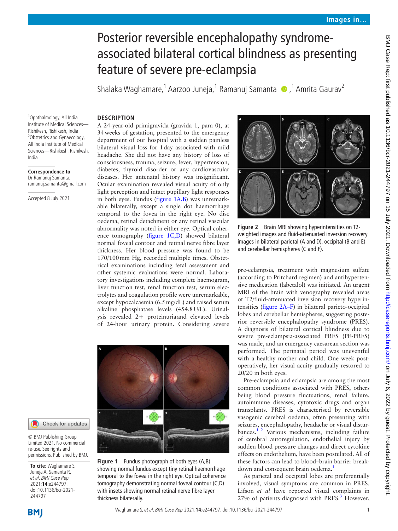# Posterior reversible encephalopathy syndromeassociated bilateral cortical blindness as presenting feature of severe pre-eclampsia

ShalakaWaghamare,<sup>1</sup> Aarzoo Juneja,<sup>1</sup> Ramanuj Samanta (D,1 Amrita Gaurav<sup>2</sup>

## **DESCRIPTION**

1 Ophthalmology, All India Institute of Medical Sciences— Rishikesh, Rishikesh, India <sup>2</sup>Obstetrics and Gynaecology, All India Institute of Medical Sciences—Rishikesh, Rishikesh, India

#### **Correspondence to**

Dr Ramanuj Samanta; ramanuj.samanta@gmail.com

Accepted 8 July 2021

A 24-year-old primigravida (gravida 1, para 0), at 34weeks of gestation, presented to the emergency department of our hospital with a sudden painless bilateral visual loss for 1day associated with mild headache. She did not have any history of loss of consciousness, trauma, seizure, fever, hypertension, diabetes, thyroid disorder or any cardiovascular diseases. Her antenatal history was insignificant. Ocular examination revealed visual acuity of only light perception and intact pupillary light responses in both eyes. Fundus ([figure](#page-0-0) 1A,B) was unremarkable bilaterally, except a single dot haemorrhage temporal to the fovea in the right eye. No disc oedema, retinal detachment or any retinal vascular abnormality was noted in either eye. Optical coherence tomography [\(figure](#page-0-0) 1C,D) showed bilateral normal foveal contour and retinal nerve fibre layer thickness. Her blood pressure was found to be 170/100mm Hg, recorded multiple times. Obstetrical examinations including fetal assessment and other systemic evaluations were normal. Laboratory investigations including complete haemogram, liver function test, renal function test, serum electrolytes and coagulation profile were unremarkable, except hypocalcaemia (6.5mg/dL) and raised serum alkaline phosphatase levels (454.8U/L). Urinalysis revealed 2+ proteinuria and elevated levels of 24-hour urinary protein. Considering severe





© BMJ Publishing Group Limited 2021. No commercial re-use. See rights and permissions. Published by BMJ.

**To cite:** Waghamare S, Juneja A, Samanta R, et al. BMJ Case Rep 2021;**14**:e244797. doi:10.1136/bcr-2021- 244797

<span id="page-0-0"></span>**Figure 1** Fundus photograph of both eyes (A,B) showing normal fundus except tiny retinal haemorrhage temporal to the fovea in the right eye. Optical coherence tomography demonstrating normal foveal contour (C,D) with insets showing normal retinal nerve fibre layer thickness bilaterally.



**Figure 2** Brain MRI showing hyperintensities on T2 weighted images and fluid-attenuated inversion recovery images in bilateral parietal (A and D), occipital (B and E) and cerebellar hemispheres (C and F).

<span id="page-0-1"></span>pre-eclampsia, treatment with magnesium sulfate (according to Pritchard regimen) and antihypertensive medication (labetalol) was initiated. An urgent MRI of the brain with venography revealed areas of T2/fluid-attenuated inversion recovery hyperintensities ([figure](#page-0-1) 2A–F) in bilateral parieto-occipital lobes and cerebellar hemispheres, suggesting posterior reversible encephalopathy syndrome (PRES). A diagnosis of bilateral cortical blindness due to severe pre-eclampsia-associated PRES (PE-PRES) was made, and an emergency caesarean section was performed. The perinatal period was uneventful with a healthy mother and child. One week postoperatively, her visual acuity gradually restored to 20/20 in both eyes.

Pre-eclampsia and eclampsia are among the most common conditions associated with PRES, others being blood pressure fluctuations, renal failure, autoimmune diseases, cytotoxic drugs and organ transplants. PRES is characterised by reversible vasogenic cerebral oedema, often presenting with seizures, encephalopathy, headache or visual disturbances.[1 2](#page-1-0) Various mechanisms, including failure of cerebral autoregulation, endothelial injury by sudden blood pressure changes and direct cytokine effects on endothelium, have been postulated. All of these factors can lead to blood–brain barrier break-down and consequent brain oedema.<sup>[1](#page-1-0)</sup>

As parietal and occipital lobes are preferentially involved, visual symptoms are common in PRES. Lifson *et al* have reported visual complaints in 27% of patients diagnosed with PRES.<sup>[3](#page-1-1)</sup> However,